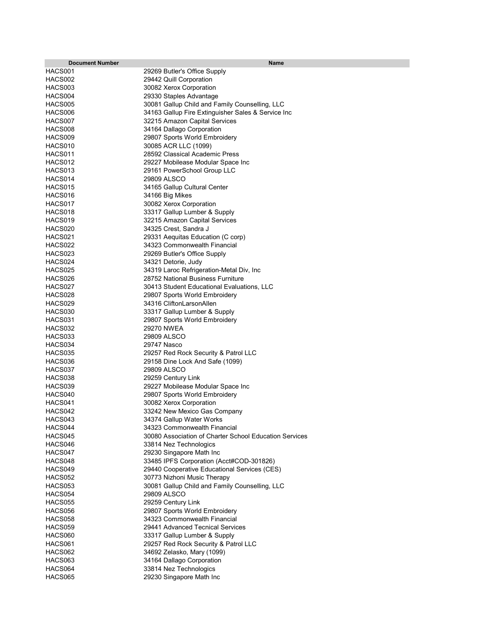| <b>Document Number</b> | Name                                                     |
|------------------------|----------------------------------------------------------|
| HACS001                | 29269 Butler's Office Supply                             |
| HACS002                | 29442 Quill Corporation                                  |
| HACS003                | 30082 Xerox Corporation                                  |
| HACS004                | 29330 Staples Advantage                                  |
| HACS005                | 30081 Gallup Child and Family Counselling, LLC           |
| HACS006                | 34163 Gallup Fire Extinguisher Sales & Service Inc       |
| HACS007                | 32215 Amazon Capital Services                            |
| HACS008                | 34164 Dallago Corporation                                |
| HACS009                | 29807 Sports World Embroidery                            |
| HACS010                | 30085 ACR LLC (1099)                                     |
| HACS011                | 28592 Classical Academic Press                           |
| HACS012                | 29227 Mobilease Modular Space Inc                        |
| HACS013                | 29161 PowerSchool Group LLC                              |
| HACS014                | 29809 ALSCO                                              |
| HACS015                | 34165 Gallup Cultural Center                             |
| HACS016                | 34166 Big Mikes                                          |
| HACS017                | 30082 Xerox Corporation                                  |
| HACS018                | 33317 Gallup Lumber & Supply                             |
| HACS019                | 32215 Amazon Capital Services                            |
| HACS020                | 34325 Crest, Sandra J                                    |
| HACS021                | 29331 Aequitas Education (C corp)                        |
| HACS022                | 34323 Commonwealth Financial                             |
| HACS023                | 29269 Butler's Office Supply                             |
| HACS024                | 34321 Detorie, Judy                                      |
| HACS025                | 34319 Laroc Refrigeration-Metal Div, Inc                 |
| HACS026                | 28752 National Business Furniture                        |
| HACS027                | 30413 Student Educational Evaluations, LLC               |
| HACS028                | 29807 Sports World Embroidery                            |
| HACS029                | 34316 CliftonLarsonAllen                                 |
| HACS030                | 33317 Gallup Lumber & Supply                             |
| HACS031                | 29807 Sports World Embroidery                            |
| HACS032                | 29270 NWEA                                               |
| HACS033                | 29809 ALSCO                                              |
| HACS034                | 29747 Nasco                                              |
| HACS035                | 29257 Red Rock Security & Patrol LLC                     |
| HACS036                | 29158 Dine Lock And Safe (1099)                          |
| HACS037                | 29809 ALSCO                                              |
| HACS038                | 29259 Century Link                                       |
| HACS039                | 29227 Mobilease Modular Space Inc                        |
| HACS040                | 29807 Sports World Embroidery                            |
| HACS041                | 30082 Xerox Corporation                                  |
| HACS042<br>HACS043     | 33242 New Mexico Gas Company                             |
| HACS044                | 34374 Gallup Water Works<br>34323 Commonwealth Financial |
| HACS045                | 30080 Association of Charter School Education Services   |
| HACS046                | 33814 Nez Technologics                                   |
| HACS047                | 29230 Singapore Math Inc                                 |
| HACS048                | 33485 IPFS Corporation (Acct#COD-301826)                 |
| HACS049                | 29440 Cooperative Educational Services (CES)             |
| HACS052                | 30773 Nizhoni Music Therapy                              |
| HACS053                | 30081 Gallup Child and Family Counselling, LLC           |
| HACS054                | 29809 ALSCO                                              |
| HACS055                | 29259 Century Link                                       |
| HACS056                | 29807 Sports World Embroidery                            |
| HACS058                | 34323 Commonwealth Financial                             |
| HACS059                | 29441 Advanced Tecnical Services                         |
| HACS060                | 33317 Gallup Lumber & Supply                             |
| HACS061                | 29257 Red Rock Security & Patrol LLC                     |
| HACS062                | 34692 Zelasko, Mary (1099)                               |
| HACS063                | 34164 Dallago Corporation                                |
| HACS064                | 33814 Nez Technologics                                   |
| HACS065                | 29230 Singapore Math Inc                                 |
|                        |                                                          |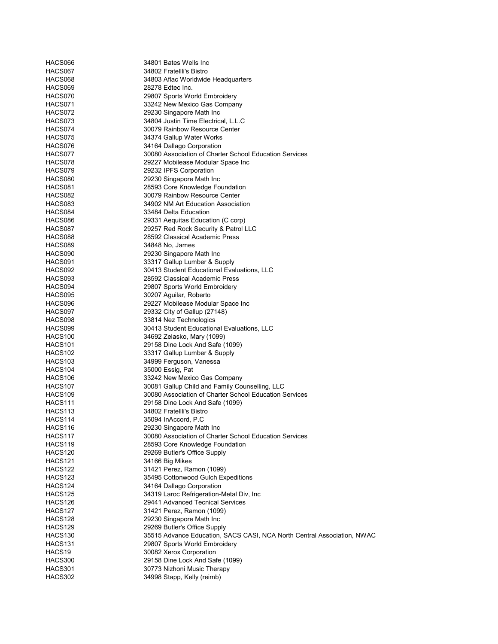| HACS066                        | 34801 Bates Wells Inc                                                   |
|--------------------------------|-------------------------------------------------------------------------|
| HACS067                        | 34802 Fratellli's Bistro                                                |
| HACS068                        | 34803 Aflac Worldwide Headquarters                                      |
| HACS069                        | 28278 Edtec Inc.                                                        |
| HACS070                        | 29807 Sports World Embroidery                                           |
| HACS071                        | 33242 New Mexico Gas Company                                            |
| HACS072                        | 29230 Singapore Math Inc                                                |
| HACS073                        | 34804 Justin Time Electrical, L.L.C                                     |
| HACS074                        | 30079 Rainbow Resource Center                                           |
| HACS075                        | 34374 Gallup Water Works                                                |
| HACS076                        | 34164 Dallago Corporation                                               |
| HACS077                        | 30080 Association of Charter School Education Services                  |
| HACS078                        | 29227 Mobilease Modular Space Inc                                       |
| HACS079                        | 29232 IPFS Corporation                                                  |
| HACS080                        | 29230 Singapore Math Inc                                                |
| HACS081                        | 28593 Core Knowledge Foundation                                         |
| HACS082                        | 30079 Rainbow Resource Center                                           |
| HACS083                        | 34902 NM Art Education Association                                      |
| HACS084                        | 33484 Delta Education                                                   |
| HACS086                        | 29331 Aequitas Education (C corp)                                       |
| HACS087                        | 29257 Red Rock Security & Patrol LLC                                    |
| HACS088                        | 28592 Classical Academic Press                                          |
| HACS089                        | 34848 No, James                                                         |
| HACS090                        | 29230 Singapore Math Inc                                                |
| HACS091                        | 33317 Gallup Lumber & Supply                                            |
| HACS092                        | 30413 Student Educational Evaluations, LLC                              |
| HACS093                        | 28592 Classical Academic Press                                          |
| HACS094                        | 29807 Sports World Embroidery                                           |
| HACS095                        | 30207 Aguilar, Roberto                                                  |
| HACS096                        | 29227 Mobilease Modular Space Inc                                       |
| HACS097                        | 29332 City of Gallup (27148)                                            |
| HACS098                        | 33814 Nez Technologics                                                  |
| HACS099                        | 30413 Student Educational Evaluations, LLC                              |
| HACS <sub>100</sub>            | 34692 Zelasko, Mary (1099)                                              |
| HACS <sub>101</sub>            | 29158 Dine Lock And Safe (1099)                                         |
| HACS <sub>102</sub>            | 33317 Gallup Lumber & Supply                                            |
| HACS <sub>103</sub>            | 34999 Ferguson, Vanessa                                                 |
| HACS <sub>104</sub>            | 35000 Essig, Pat                                                        |
| HACS106                        | 33242 New Mexico Gas Company                                            |
| HACS107                        | 30081 Gallup Child and Family Counselling, LLC                          |
| HACS <sub>109</sub>            | 30080 Association of Charter School Education Services                  |
| HACS <sub>111</sub>            | 29158 Dine Lock And Safe (1099)                                         |
| HACS113                        | 34802 Fratellli's Bistro                                                |
| HACS114                        | 35094 InAccord, P.C                                                     |
| HACS116                        | 29230 Singapore Math Inc                                                |
| HACS117                        | 30080 Association of Charter School Education Services                  |
| HACS119                        | 28593 Core Knowledge Foundation<br>29269 Butler's Office Supply         |
| HACS <sub>120</sub><br>HACS121 | 34166 Big Mikes                                                         |
|                                |                                                                         |
| HACS122<br>HACS123             | 31421 Perez, Ramon (1099)<br>35495 Cottonwood Gulch Expeditions         |
| HACS124                        | 34164 Dallago Corporation                                               |
| HACS125                        | 34319 Laroc Refrigeration-Metal Div, Inc                                |
| HACS126                        | 29441 Advanced Tecnical Services                                        |
| HACS127                        | 31421 Perez, Ramon (1099)                                               |
| HACS128                        | 29230 Singapore Math Inc                                                |
| HACS129                        | 29269 Butler's Office Supply                                            |
| HACS <sub>130</sub>            | 35515 Advance Education, SACS CASI, NCA North Central Association, NWAC |
| HACS <sub>131</sub>            | 29807 Sports World Embroidery                                           |
| HACS19                         | 30082 Xerox Corporation                                                 |
| HACS300                        | 29158 Dine Lock And Safe (1099)                                         |
| HACS301                        | 30773 Nizhoni Music Therapy                                             |
| HACS302                        | 34998 Stapp, Kelly (reimb)                                              |
|                                |                                                                         |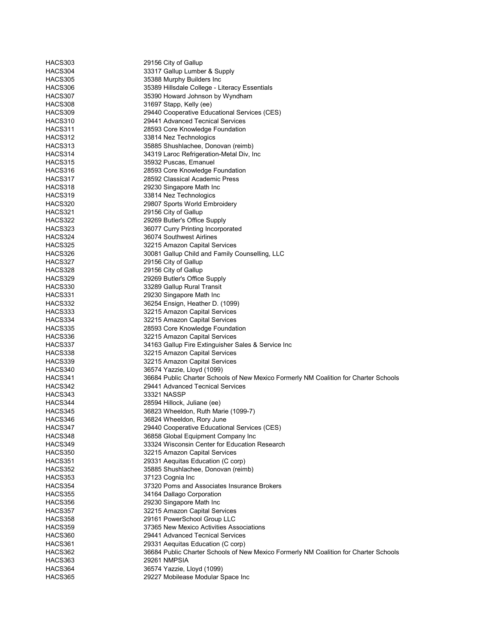| HACS303            | 29156 City of Gallup                                                                 |
|--------------------|--------------------------------------------------------------------------------------|
| HACS304            | 33317 Gallup Lumber & Supply                                                         |
| HACS305            | 35388 Murphy Builders Inc                                                            |
| HACS306            | 35389 Hillsdale College - Literacy Essentials                                        |
| HACS307            | 35390 Howard Johnson by Wyndham                                                      |
| HACS308            | 31697 Stapp, Kelly (ee)                                                              |
| HACS309            | 29440 Cooperative Educational Services (CES)                                         |
| HACS310            | 29441 Advanced Tecnical Services                                                     |
| HACS311            | 28593 Core Knowledge Foundation                                                      |
| HACS312            | 33814 Nez Technologics                                                               |
| HACS313            | 35885 Shushlachee, Donovan (reimb)                                                   |
| HACS314            | 34319 Laroc Refrigeration-Metal Div, Inc                                             |
| HACS315            | 35932 Puscas, Emanuel                                                                |
| HACS316            | 28593 Core Knowledge Foundation                                                      |
| HACS317            | 28592 Classical Academic Press                                                       |
| HACS318            | 29230 Singapore Math Inc                                                             |
| HACS319            | 33814 Nez Technologics                                                               |
| HACS320            | 29807 Sports World Embroidery                                                        |
| HACS321            | 29156 City of Gallup                                                                 |
| HACS322            | 29269 Butler's Office Supply                                                         |
| HACS323            | 36077 Curry Printing Incorporated                                                    |
| HACS324            | 36074 Southwest Airlines                                                             |
| HACS325            | 32215 Amazon Capital Services                                                        |
| HACS326            | 30081 Gallup Child and Family Counselling, LLC                                       |
| HACS327            | 29156 City of Gallup                                                                 |
| HACS328            | 29156 City of Gallup                                                                 |
| HACS329            | 29269 Butler's Office Supply                                                         |
| HACS330            | 33289 Gallup Rural Transit                                                           |
| HACS331            |                                                                                      |
| HACS332            | 29230 Singapore Math Inc<br>36254 Ensign, Heather D. (1099)                          |
|                    |                                                                                      |
| HACS333<br>HACS334 | 32215 Amazon Capital Services                                                        |
|                    | 32215 Amazon Capital Services                                                        |
| HACS335            | 28593 Core Knowledge Foundation                                                      |
| HACS336            | 32215 Amazon Capital Services                                                        |
| HACS337            | 34163 Gallup Fire Extinguisher Sales & Service Inc                                   |
| HACS338            | 32215 Amazon Capital Services<br>32215 Amazon Capital Services                       |
| HACS339            |                                                                                      |
| HACS340            | 36574 Yazzie, Lloyd (1099)                                                           |
| HACS341            | 36684 Public Charter Schools of New Mexico Formerly NM Coalition for Charter Schools |
| HACS342            | 29441 Advanced Tecnical Services                                                     |
| HACS343            | 33321 NASSP                                                                          |
| HACS344            | 28594 Hillock, Juliane (ee)                                                          |
| HACS345            | 36823 Wheeldon, Ruth Marie (1099-7)                                                  |
| HACS346            | 36824 Wheeldon, Rory June                                                            |
| HACS347            | 29440 Cooperative Educational Services (CES)                                         |
| HACS348            | 36858 Global Equipment Company Inc                                                   |
| HACS349            | 33324 Wisconsin Center for Education Research                                        |
| HACS350            | 32215 Amazon Capital Services                                                        |
| HACS351            | 29331 Aequitas Education (C corp)                                                    |
| HACS352            | 35885 Shushlachee, Donovan (reimb)                                                   |
| HACS353            | 37123 Cognia Inc                                                                     |
| HACS354            | 37320 Poms and Associates Insurance Brokers                                          |
| <b>HACS355</b>     | 34164 Dallago Corporation                                                            |
| HACS356            | 29230 Singapore Math Inc                                                             |
| HACS357            | 32215 Amazon Capital Services                                                        |
| HACS358            | 29161 PowerSchool Group LLC                                                          |
| HACS359            | 37365 New Mexico Activities Associations                                             |
| HACS360            | 29441 Advanced Tecnical Services                                                     |
| HACS361            | 29331 Aequitas Education (C corp)                                                    |
| HACS362            | 36684 Public Charter Schools of New Mexico Formerly NM Coalition for Charter Schools |
| HACS363            | <b>29261 NMPSIA</b>                                                                  |
| HACS364            | 36574 Yazzie, Lloyd (1099)                                                           |
| HACS365            | 29227 Mobilease Modular Space Inc                                                    |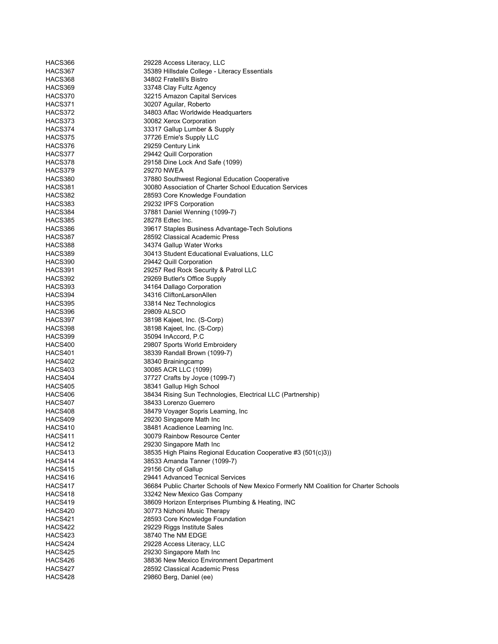| HACS366            | 29228 Access Literacy, LLC                                                           |
|--------------------|--------------------------------------------------------------------------------------|
| HACS367            | 35389 Hillsdale College - Literacy Essentials                                        |
| HACS368            | 34802 Fratellli's Bistro                                                             |
| HACS369            | 33748 Clay Fultz Agency                                                              |
| HACS370            | 32215 Amazon Capital Services                                                        |
| HACS371            | 30207 Aguilar, Roberto                                                               |
| HACS372            | 34803 Aflac Worldwide Headquarters                                                   |
| HACS373            | 30082 Xerox Corporation                                                              |
| HACS374            | 33317 Gallup Lumber & Supply                                                         |
| HACS375            | 37726 Ernie's Supply LLC                                                             |
| HACS376            | 29259 Century Link                                                                   |
| HACS377            | 29442 Quill Corporation                                                              |
| HACS378            | 29158 Dine Lock And Safe (1099)                                                      |
| HACS379            | 29270 NWEA                                                                           |
| HACS380            | 37880 Southwest Regional Education Cooperative                                       |
| HACS381            | 30080 Association of Charter School Education Services                               |
| HACS382            | 28593 Core Knowledge Foundation                                                      |
| HACS383            | 29232 IPFS Corporation                                                               |
| HACS384            | 37881 Daniel Wenning (1099-7)                                                        |
| HACS385            | 28278 Edtec Inc.                                                                     |
| HACS386            | 39617 Staples Business Advantage-Tech Solutions                                      |
| HACS387            | 28592 Classical Academic Press                                                       |
| HACS388            | 34374 Gallup Water Works                                                             |
| HACS389            | 30413 Student Educational Evaluations, LLC                                           |
| HACS390            | 29442 Quill Corporation                                                              |
| HACS391            | 29257 Red Rock Security & Patrol LLC                                                 |
| HACS392            | 29269 Butler's Office Supply                                                         |
| HACS393            | 34164 Dallago Corporation                                                            |
| HACS394            | 34316 CliftonLarsonAllen                                                             |
| HACS395            | 33814 Nez Technologics                                                               |
| HACS396            | 29809 ALSCO                                                                          |
| HACS397            | 38198 Kajeet, Inc. (S-Corp)                                                          |
| HACS398            | 38198 Kajeet, Inc. (S-Corp)                                                          |
| HACS399            | 35094 InAccord, P.C                                                                  |
| HACS400            | 29807 Sports World Embroidery                                                        |
| HACS401            | 38339 Randall Brown (1099-7)                                                         |
| HACS402            | 38340 Brainingcamp                                                                   |
| HACS403            | 30085 ACR LLC (1099)                                                                 |
| HACS404            | 37727 Crafts by Joyce (1099-7)                                                       |
| HACS405            | 38341 Gallup High School                                                             |
| HACS406            | 38434 Rising Sun Technologies, Electrical LLC (Partnership)                          |
| HACS407            | 38433 Lorenzo Guerrero                                                               |
| HACS408            | 38479 Voyager Sopris Learning, Inc.                                                  |
| HACS409            | 29230 Singapore Math Inc                                                             |
| HACS410            | 38481 Acadience Learning Inc.                                                        |
| HACS411            | 30079 Rainbow Resource Center                                                        |
| HACS412            | 29230 Singapore Math Inc                                                             |
| HACS413            | 38535 High Plains Regional Education Cooperative #3 (501(c)3))                       |
| HACS414            | 38533 Amanda Tanner (1099-7)                                                         |
| HACS415            | 29156 City of Gallup                                                                 |
| HACS416            | 29441 Advanced Tecnical Services                                                     |
| HACS417            | 36684 Public Charter Schools of New Mexico Formerly NM Coalition for Charter Schools |
| HACS418            | 33242 New Mexico Gas Company                                                         |
| HACS419            | 38609 Horizon Enterprises Plumbing & Heating, INC<br>30773 Nizhoni Music Therapy     |
| HACS420            |                                                                                      |
| HACS421<br>HACS422 | 28593 Core Knowledge Foundation                                                      |
| HACS423            | 29229 Riggs Institute Sales<br>38740 The NM EDGE                                     |
| HACS424            | 29228 Access Literacy, LLC                                                           |
| HACS425            | 29230 Singapore Math Inc                                                             |
| HACS426            | 38836 New Mexico Environment Department                                              |
| HACS427            | 28592 Classical Academic Press                                                       |
| HACS428            | 29860 Berg, Daniel (ee)                                                              |
|                    |                                                                                      |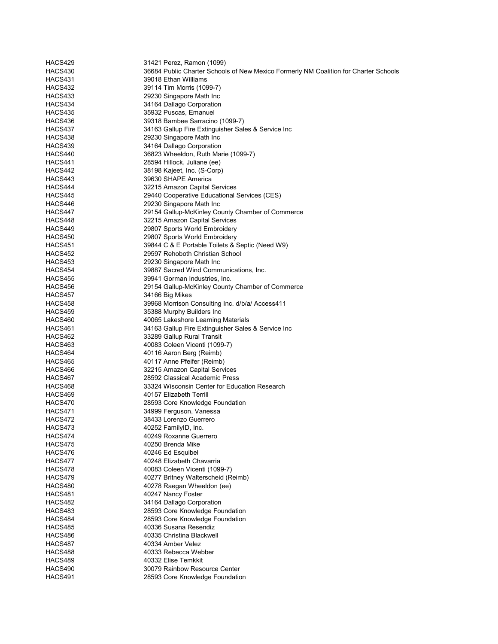| HACS429            | 31421 Perez, Ramon (1099)                                                            |
|--------------------|--------------------------------------------------------------------------------------|
| HACS430            | 36684 Public Charter Schools of New Mexico Formerly NM Coalition for Charter Schools |
| HACS431            | 39018 Ethan Williams                                                                 |
| HACS432            | 39114 Tim Morris (1099-7)                                                            |
| HACS433            | 29230 Singapore Math Inc                                                             |
| HACS434            | 34164 Dallago Corporation                                                            |
| HACS435            | 35932 Puscas, Emanuel                                                                |
| HACS436            | 39318 Bambee Sarracino (1099-7)                                                      |
| HACS437            | 34163 Gallup Fire Extinguisher Sales & Service Inc                                   |
| HACS438            | 29230 Singapore Math Inc                                                             |
| HACS439            | 34164 Dallago Corporation                                                            |
| HACS440            | 36823 Wheeldon, Ruth Marie (1099-7)                                                  |
| HACS441            | 28594 Hillock, Juliane (ee)                                                          |
| HACS442            | 38198 Kajeet, Inc. (S-Corp)                                                          |
| HACS443            | 39630 SHAPE America                                                                  |
| HACS444            | 32215 Amazon Capital Services                                                        |
| HACS445            | 29440 Cooperative Educational Services (CES)                                         |
| HACS446            | 29230 Singapore Math Inc                                                             |
| HACS447            | 29154 Gallup-McKinley County Chamber of Commerce                                     |
| HACS448            | 32215 Amazon Capital Services                                                        |
| HACS449            | 29807 Sports World Embroidery                                                        |
| HACS450            | 29807 Sports World Embroidery                                                        |
| HACS451            | 39844 C & E Portable Toilets & Septic (Need W9)                                      |
| HACS452            | 29597 Rehoboth Christian School                                                      |
| HACS453            | 29230 Singapore Math Inc                                                             |
| HACS454            | 39887 Sacred Wind Communications, Inc.                                               |
| HACS455            | 39941 Gorman Industries, Inc.                                                        |
| HACS456            | 29154 Gallup-McKinley County Chamber of Commerce                                     |
| HACS457            | 34166 Big Mikes                                                                      |
| HACS458            | 39968 Morrison Consulting Inc. d/b/a/ Access411                                      |
| HACS459            | 35388 Murphy Builders Inc                                                            |
| HACS460            | 40065 Lakeshore Learning Materials                                                   |
| HACS461            | 34163 Gallup Fire Extinguisher Sales & Service Inc                                   |
| HACS462            | 33289 Gallup Rural Transit                                                           |
| HACS463            | 40083 Coleen Vicenti (1099-7)                                                        |
| HACS464            | 40116 Aaron Berg (Reimb)                                                             |
| HACS465            | 40117 Anne Pfeifer (Reimb)                                                           |
| HACS466            | 32215 Amazon Capital Services<br>28592 Classical Academic Press                      |
| HACS467            | 33324 Wisconsin Center for Education Research                                        |
| HACS468            | 40157 Elizabeth Terrill                                                              |
| HACS469<br>HACS470 |                                                                                      |
| HACS471            | 28593 Core Knowledge Foundation<br>34999 Ferguson, Vanessa                           |
| HACS472            | 38433 Lorenzo Guerrero                                                               |
| HACS473            | 40252 FamilyID, Inc.                                                                 |
| HACS474            | 40249 Roxanne Guerrero                                                               |
| HACS475            | 40250 Brenda Mike                                                                    |
| HACS476            | 40246 Ed Esquibel                                                                    |
| HACS477            | 40248 Elizabeth Chavarria                                                            |
| HACS478            | 40083 Coleen Vicenti (1099-7)                                                        |
| HACS479            | 40277 Britney Walterscheid (Reimb)                                                   |
| HACS480            | 40278 Raegan Wheeldon (ee)                                                           |
| HACS481            | 40247 Nancy Foster                                                                   |
| HACS482            | 34164 Dallago Corporation                                                            |
| HACS483            | 28593 Core Knowledge Foundation                                                      |
| HACS484            | 28593 Core Knowledge Foundation                                                      |
| HACS485            | 40336 Susana Resendiz                                                                |
| HACS486            | 40335 Christina Blackwell                                                            |
| HACS487            | 40334 Amber Velez                                                                    |
| HACS488            | 40333 Rebecca Webber                                                                 |
| HACS489            | 40332 Elise Temkkit                                                                  |
| HACS490            | 30079 Rainbow Resource Center                                                        |
| HACS491            | 28593 Core Knowledge Foundation                                                      |